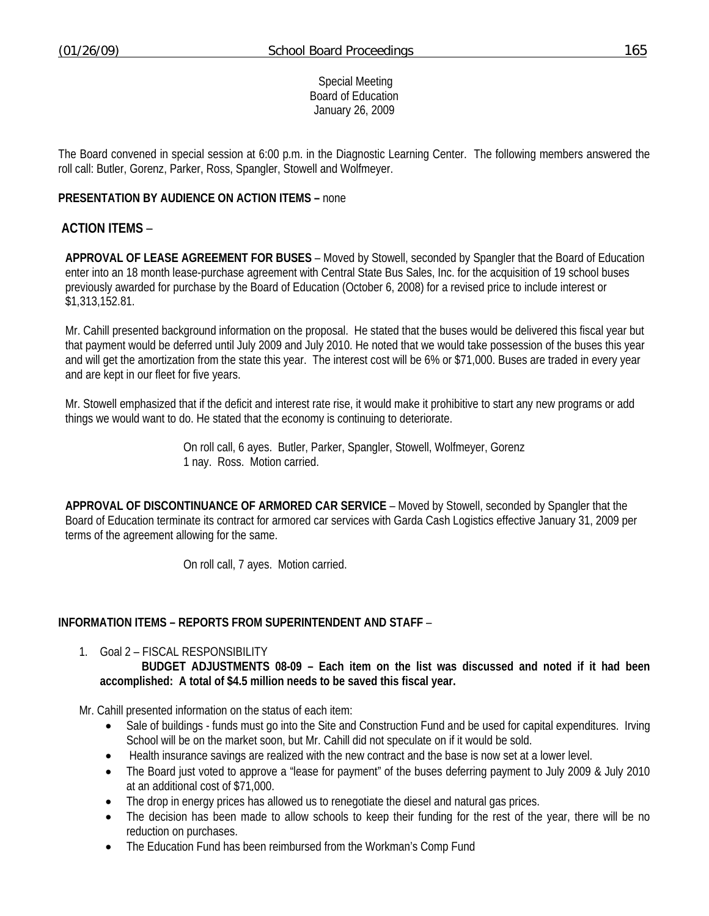Special Meeting Board of Education January 26, 2009

The Board convened in special session at 6:00 p.m. in the Diagnostic Learning Center. The following members answered the roll call: Butler, Gorenz, Parker, Ross, Spangler, Stowell and Wolfmeyer.

## **PRESENTATION BY AUDIENCE ON ACTION ITEMS –** none

## **ACTION ITEMS** –

**APPROVAL OF LEASE AGREEMENT FOR BUSES** – Moved by Stowell, seconded by Spangler that the Board of Education enter into an 18 month lease-purchase agreement with Central State Bus Sales, Inc. for the acquisition of 19 school buses previously awarded for purchase by the Board of Education (October 6, 2008) for a revised price to include interest or \$1,313,152.81.

Mr. Cahill presented background information on the proposal. He stated that the buses would be delivered this fiscal year but that payment would be deferred until July 2009 and July 2010. He noted that we would take possession of the buses this year and will get the amortization from the state this year. The interest cost will be 6% or \$71,000. Buses are traded in every year and are kept in our fleet for five years.

Mr. Stowell emphasized that if the deficit and interest rate rise, it would make it prohibitive to start any new programs or add things we would want to do. He stated that the economy is continuing to deteriorate.

> On roll call, 6 ayes. Butler, Parker, Spangler, Stowell, Wolfmeyer, Gorenz 1 nay. Ross. Motion carried.

**APPROVAL OF DISCONTINUANCE OF ARMORED CAR SERVICE** – Moved by Stowell, seconded by Spangler that the Board of Education terminate its contract for armored car services with Garda Cash Logistics effective January 31, 2009 per terms of the agreement allowing for the same.

On roll call, 7 ayes. Motion carried.

## **INFORMATION ITEMS – REPORTS FROM SUPERINTENDENT AND STAFF** –

1. Goal 2 – FISCAL RESPONSIBILITY

 **BUDGET ADJUSTMENTS 08-09 – Each item on the list was discussed and noted if it had been accomplished: A total of \$4.5 million needs to be saved this fiscal year.** 

Mr. Cahill presented information on the status of each item:

- Sale of buildings funds must go into the Site and Construction Fund and be used for capital expenditures. Irving School will be on the market soon, but Mr. Cahill did not speculate on if it would be sold.
- Health insurance savings are realized with the new contract and the base is now set at a lower level.
- The Board just voted to approve a "lease for payment" of the buses deferring payment to July 2009 & July 2010 at an additional cost of \$71,000.
- The drop in energy prices has allowed us to renegotiate the diesel and natural gas prices.
- The decision has been made to allow schools to keep their funding for the rest of the year, there will be no reduction on purchases.
- The Education Fund has been reimbursed from the Workman's Comp Fund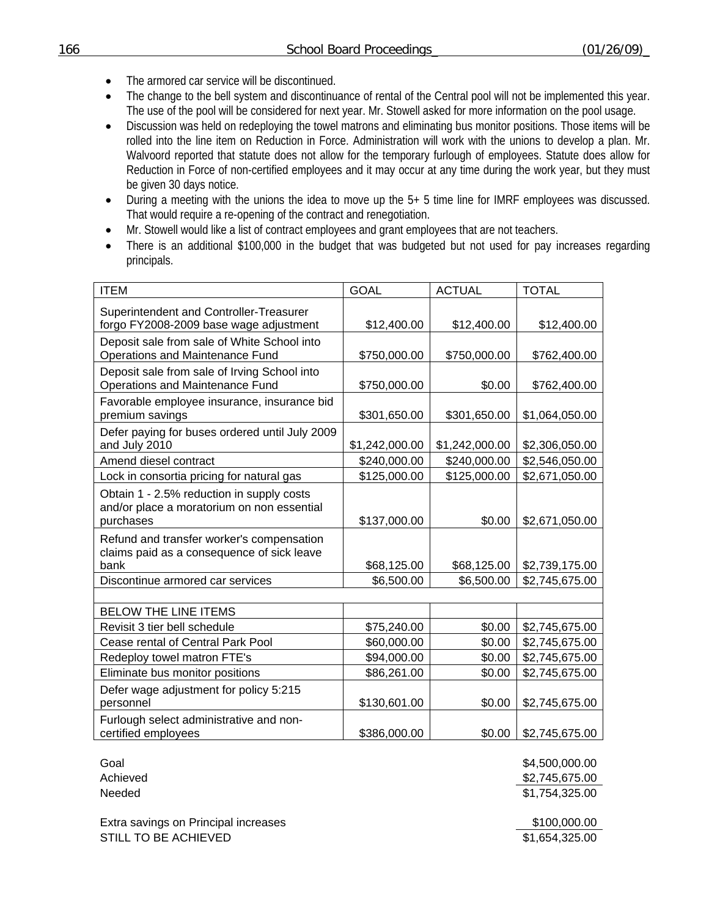- The armored car service will be discontinued.
- The change to the bell system and discontinuance of rental of the Central pool will not be implemented this year. The use of the pool will be considered for next year. Mr. Stowell asked for more information on the pool usage.
- Discussion was held on redeploying the towel matrons and eliminating bus monitor positions. Those items will be rolled into the line item on Reduction in Force. Administration will work with the unions to develop a plan. Mr. Walvoord reported that statute does not allow for the temporary furlough of employees. Statute does allow for Reduction in Force of non-certified employees and it may occur at any time during the work year, but they must be given 30 days notice.
- During a meeting with the unions the idea to move up the 5+ 5 time line for IMRF employees was discussed. That would require a re-opening of the contract and renegotiation.
- Mr. Stowell would like a list of contract employees and grant employees that are not teachers.
- There is an additional \$100,000 in the budget that was budgeted but not used for pay increases regarding principals.

| <b>ITEM</b>                                                                                          | <b>GOAL</b>    | <b>ACTUAL</b>  | <b>TOTAL</b>   |
|------------------------------------------------------------------------------------------------------|----------------|----------------|----------------|
| Superintendent and Controller-Treasurer<br>forgo FY2008-2009 base wage adjustment                    | \$12,400.00    | \$12,400.00    | \$12,400.00    |
| Deposit sale from sale of White School into<br>Operations and Maintenance Fund                       | \$750,000.00   | \$750,000.00   | \$762,400.00   |
| Deposit sale from sale of Irving School into<br>Operations and Maintenance Fund                      | \$750,000.00   | \$0.00         | \$762,400.00   |
| Favorable employee insurance, insurance bid<br>premium savings                                       | \$301,650.00   | \$301,650.00   | \$1,064,050.00 |
| Defer paying for buses ordered until July 2009<br>and July 2010                                      | \$1,242,000.00 | \$1,242,000.00 | \$2,306,050.00 |
| Amend diesel contract                                                                                | \$240,000.00   | \$240,000.00   | \$2,546,050.00 |
| Lock in consortia pricing for natural gas                                                            | \$125,000.00   | \$125,000.00   | \$2,671,050.00 |
| Obtain 1 - 2.5% reduction in supply costs<br>and/or place a moratorium on non essential<br>purchases | \$137,000.00   | \$0.00         | \$2,671,050.00 |
| Refund and transfer worker's compensation<br>claims paid as a consequence of sick leave<br>bank      | \$68,125.00    | \$68,125.00    | \$2,739,175.00 |
| Discontinue armored car services                                                                     | \$6,500.00     | \$6,500.00     | \$2,745,675.00 |
|                                                                                                      |                |                |                |
| <b>BELOW THE LINE ITEMS</b>                                                                          |                |                |                |
| Revisit 3 tier bell schedule                                                                         | \$75,240.00    | \$0.00         | \$2,745,675.00 |
| Cease rental of Central Park Pool                                                                    | \$60,000.00    | \$0.00         | \$2,745,675.00 |
| Redeploy towel matron FTE's                                                                          | \$94,000.00    | \$0.00         | \$2,745,675.00 |
| Eliminate bus monitor positions                                                                      | \$86,261.00    | \$0.00         | \$2,745,675.00 |
| Defer wage adjustment for policy 5:215<br>personnel                                                  | \$130,601.00   | \$0.00         | \$2,745,675.00 |
| Furlough select administrative and non-<br>certified employees                                       | \$386,000.00   | \$0.00         | \$2,745,675.00 |

Extra savings on Principal increases **\$100,000.00** \$100,000.00 STILL TO BE ACHIEVED **\$1,654,325.00** 

Goal \$4,500,000.00 Achieved \$2,745,675.00 Needed \$1,754,325.00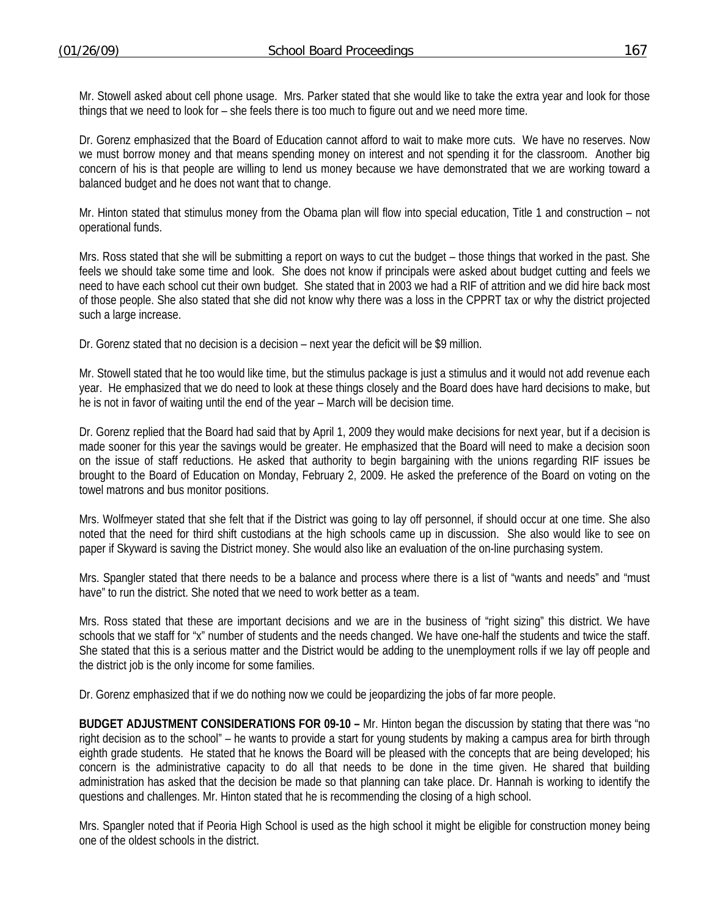Mr. Stowell asked about cell phone usage. Mrs. Parker stated that she would like to take the extra year and look for those things that we need to look for – she feels there is too much to figure out and we need more time.

Dr. Gorenz emphasized that the Board of Education cannot afford to wait to make more cuts. We have no reserves. Now we must borrow money and that means spending money on interest and not spending it for the classroom. Another big concern of his is that people are willing to lend us money because we have demonstrated that we are working toward a balanced budget and he does not want that to change.

Mr. Hinton stated that stimulus money from the Obama plan will flow into special education, Title 1 and construction – not operational funds.

Mrs. Ross stated that she will be submitting a report on ways to cut the budget – those things that worked in the past. She feels we should take some time and look. She does not know if principals were asked about budget cutting and feels we need to have each school cut their own budget. She stated that in 2003 we had a RIF of attrition and we did hire back most of those people. She also stated that she did not know why there was a loss in the CPPRT tax or why the district projected such a large increase.

Dr. Gorenz stated that no decision is a decision – next year the deficit will be \$9 million.

Mr. Stowell stated that he too would like time, but the stimulus package is just a stimulus and it would not add revenue each year. He emphasized that we do need to look at these things closely and the Board does have hard decisions to make, but he is not in favor of waiting until the end of the year – March will be decision time.

Dr. Gorenz replied that the Board had said that by April 1, 2009 they would make decisions for next year, but if a decision is made sooner for this year the savings would be greater. He emphasized that the Board will need to make a decision soon on the issue of staff reductions. He asked that authority to begin bargaining with the unions regarding RIF issues be brought to the Board of Education on Monday, February 2, 2009. He asked the preference of the Board on voting on the towel matrons and bus monitor positions.

Mrs. Wolfmeyer stated that she felt that if the District was going to lay off personnel, if should occur at one time. She also noted that the need for third shift custodians at the high schools came up in discussion. She also would like to see on paper if Skyward is saving the District money. She would also like an evaluation of the on-line purchasing system.

Mrs. Spangler stated that there needs to be a balance and process where there is a list of "wants and needs" and "must have" to run the district. She noted that we need to work better as a team.

Mrs. Ross stated that these are important decisions and we are in the business of "right sizing" this district. We have schools that we staff for "x" number of students and the needs changed. We have one-half the students and twice the staff. She stated that this is a serious matter and the District would be adding to the unemployment rolls if we lay off people and the district job is the only income for some families.

Dr. Gorenz emphasized that if we do nothing now we could be jeopardizing the jobs of far more people.

**BUDGET ADJUSTMENT CONSIDERATIONS FOR 09-10 –** Mr. Hinton began the discussion by stating that there was "no right decision as to the school" – he wants to provide a start for young students by making a campus area for birth through eighth grade students. He stated that he knows the Board will be pleased with the concepts that are being developed; his concern is the administrative capacity to do all that needs to be done in the time given. He shared that building administration has asked that the decision be made so that planning can take place. Dr. Hannah is working to identify the questions and challenges. Mr. Hinton stated that he is recommending the closing of a high school.

Mrs. Spangler noted that if Peoria High School is used as the high school it might be eligible for construction money being one of the oldest schools in the district.